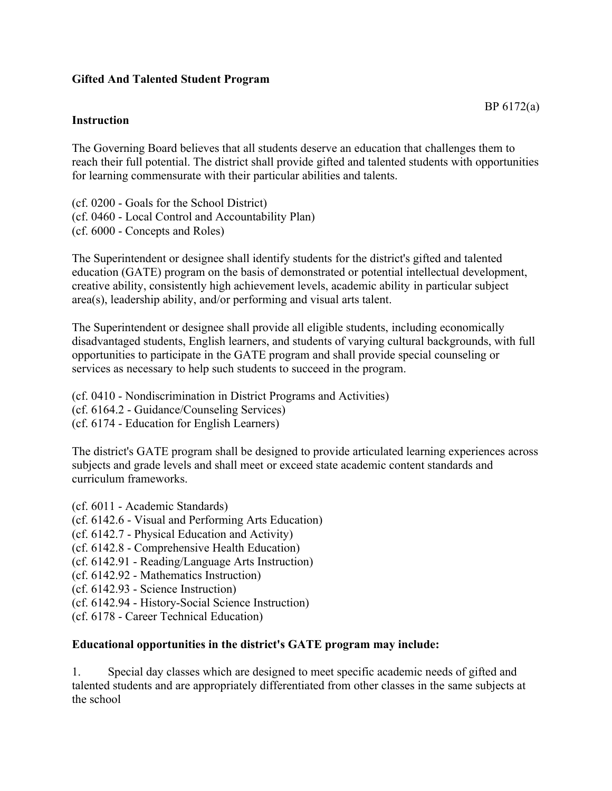## **Gifted And Talented Student Program**

## **Instruction**

The Governing Board believes that all students deserve an education that challenges them to reach their full potential. The district shall provide gifted and talented students with opportunities for learning commensurate with their particular abilities and talents.

(cf. 0200 - Goals for the School District) (cf. 0460 - Local Control and Accountability Plan) (cf. 6000 - Concepts and Roles)

The Superintendent or designee shall identify students for the district's gifted and talented education (GATE) program on the basis of demonstrated or potential intellectual development, creative ability, consistently high achievement levels, academic ability in particular subject area(s), leadership ability, and/or performing and visual arts talent.

The Superintendent or designee shall provide all eligible students, including economically disadvantaged students, English learners, and students of varying cultural backgrounds, with full opportunities to participate in the GATE program and shall provide special counseling or services as necessary to help such students to succeed in the program.

(cf. 0410 - Nondiscrimination in District Programs and Activities)

(cf. 6164.2 - Guidance/Counseling Services)

(cf. 6174 - Education for English Learners)

The district's GATE program shall be designed to provide articulated learning experiences across subjects and grade levels and shall meet or exceed state academic content standards and curriculum frameworks.

- (cf. 6011 Academic Standards)
- (cf. 6142.6 Visual and Performing Arts Education)
- (cf. 6142.7 Physical Education and Activity)
- (cf. 6142.8 Comprehensive Health Education)
- (cf. 6142.91 Reading/Language Arts Instruction)
- (cf. 6142.92 Mathematics Instruction)
- (cf. 6142.93 Science Instruction)
- (cf. 6142.94 History-Social Science Instruction)
- (cf. 6178 Career Technical Education)

## **Educational opportunities in the district's GATE program may include:**

1. Special day classes which are designed to meet specific academic needs of gifted and talented students and are appropriately differentiated from other classes in the same subjects at the school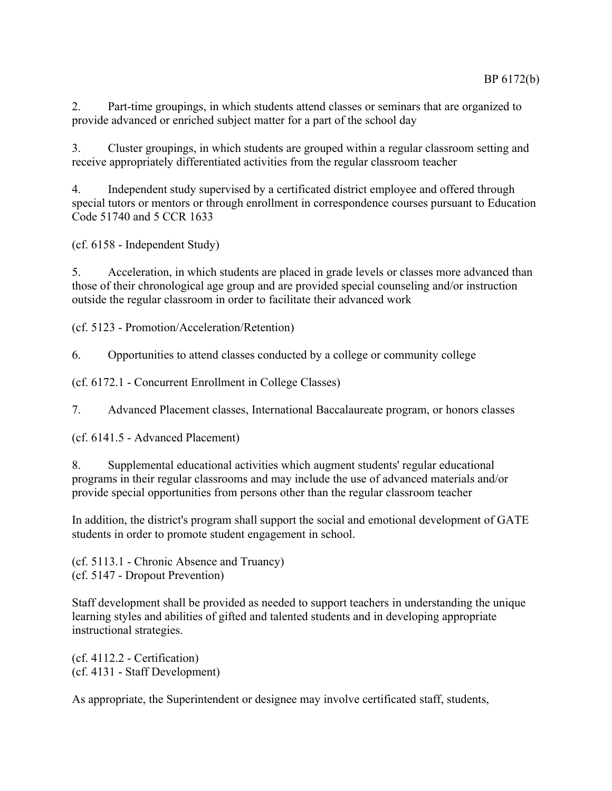2. Part-time groupings, in which students attend classes or seminars that are organized to provide advanced or enriched subject matter for a part of the school day

3. Cluster groupings, in which students are grouped within a regular classroom setting and receive appropriately differentiated activities from the regular classroom teacher

4. Independent study supervised by a certificated district employee and offered through special tutors or mentors or through enrollment in correspondence courses pursuant to Education Code 51740 and 5 CCR 1633

(cf. 6158 - Independent Study)

5. Acceleration, in which students are placed in grade levels or classes more advanced than those of their chronological age group and are provided special counseling and/or instruction outside the regular classroom in order to facilitate their advanced work

(cf. 5123 - Promotion/Acceleration/Retention)

6. Opportunities to attend classes conducted by a college or community college

(cf. 6172.1 - Concurrent Enrollment in College Classes)

7. Advanced Placement classes, International Baccalaureate program, or honors classes

(cf. 6141.5 - Advanced Placement)

8. Supplemental educational activities which augment students' regular educational programs in their regular classrooms and may include the use of advanced materials and/or provide special opportunities from persons other than the regular classroom teacher

In addition, the district's program shall support the social and emotional development of GATE students in order to promote student engagement in school.

(cf. 5113.1 - Chronic Absence and Truancy) (cf. 5147 - Dropout Prevention)

Staff development shall be provided as needed to support teachers in understanding the unique learning styles and abilities of gifted and talented students and in developing appropriate instructional strategies.

(cf. 4112.2 - Certification) (cf. 4131 - Staff Development)

As appropriate, the Superintendent or designee may involve certificated staff, students,